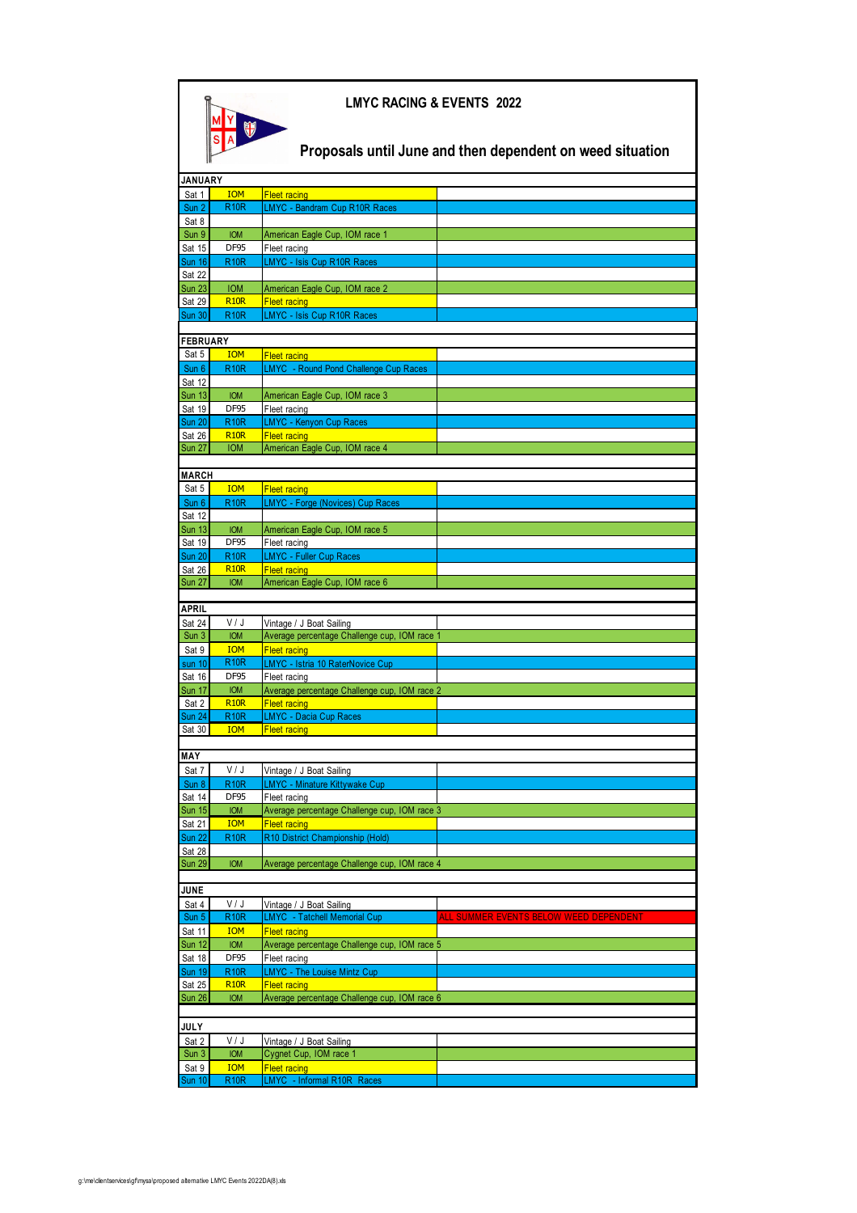| <b>LMYC RACING &amp; EVENTS 2022</b>                      |                            |                                                                          |                                        |  |  |  |
|-----------------------------------------------------------|----------------------------|--------------------------------------------------------------------------|----------------------------------------|--|--|--|
| Proposals until June and then dependent on weed situation |                            |                                                                          |                                        |  |  |  |
| <b>JANUARY</b>                                            |                            |                                                                          |                                        |  |  |  |
| Sat 1                                                     | <b>IOM</b>                 | <b>Fleet racing</b>                                                      |                                        |  |  |  |
| Sun 2                                                     | <b>R10R</b>                | LMYC - Bandram Cup R10R Races                                            |                                        |  |  |  |
| Sat 8<br>Sun 9                                            | <b>IOM</b>                 | American Eagle Cup, IOM race 1                                           |                                        |  |  |  |
| Sat 15                                                    | DF95                       | Fleet racing                                                             |                                        |  |  |  |
| <b>Sun 16</b>                                             | <b>R10R</b>                | LMYC - Isis Cup R10R Races                                               |                                        |  |  |  |
| <b>Sat 22</b><br><b>Sun 23</b>                            | <b>IOM</b>                 | American Eagle Cup, IOM race 2                                           |                                        |  |  |  |
| <b>Sat 29</b>                                             | <b>R10R</b>                | <b>Fleet racing</b>                                                      |                                        |  |  |  |
| <b>Sun 30</b>                                             | <b>R10R</b>                | LMYC - Isis Cup R10R Races                                               |                                        |  |  |  |
|                                                           |                            |                                                                          |                                        |  |  |  |
| <b>FEBRUARY</b><br>Sat 5                                  | <b>IOM</b>                 | <b>Fleet racing</b>                                                      |                                        |  |  |  |
| Sun 6                                                     | <b>R10R</b>                | LMYC - Round Pond Challenge Cup Races                                    |                                        |  |  |  |
| Sat 12                                                    |                            |                                                                          |                                        |  |  |  |
| <b>Sun 13</b>                                             | <b>IOM</b>                 | American Eagle Cup, IOM race 3                                           |                                        |  |  |  |
| Sat 19<br><b>Sun 20</b>                                   | DF95<br><b>R10R</b>        | Fleet racing<br>LMYC - Kenyon Cup Races                                  |                                        |  |  |  |
| <b>Sat 26</b>                                             | <b>R10R</b>                | <b>Fleet racing</b>                                                      |                                        |  |  |  |
| <b>Sun 27</b>                                             | <b>IOM</b>                 | American Eagle Cup, IOM race 4                                           |                                        |  |  |  |
|                                                           |                            |                                                                          |                                        |  |  |  |
| <b>MARCH</b><br>Sat 5                                     | <b>IOM</b>                 | <b>Fleet racing</b>                                                      |                                        |  |  |  |
| Sun 6                                                     | <b>R10R</b>                | <b>LMYC</b> - Forge (Novices) Cup Races                                  |                                        |  |  |  |
| Sat 12                                                    |                            |                                                                          |                                        |  |  |  |
| <b>Sun 13</b>                                             | <b>IOM</b>                 | American Eagle Cup, IOM race 5                                           |                                        |  |  |  |
| Sat 19                                                    | <b>DF95</b>                | Fleet racing                                                             |                                        |  |  |  |
| <b>Sun 20</b><br>Sat 26                                   | <b>R10R</b><br><b>R10R</b> | <b>LMYC - Fuller Cup Races</b><br><b>Fleet racing</b>                    |                                        |  |  |  |
| <b>Sun 27</b>                                             | <b>IOM</b>                 | American Eagle Cup, IOM race 6                                           |                                        |  |  |  |
|                                                           |                            |                                                                          |                                        |  |  |  |
| <b>APRIL</b>                                              |                            |                                                                          |                                        |  |  |  |
| Sat 24<br>Sun 3                                           | V/J<br><b>IOM</b>          | Vintage / J Boat Sailing<br>Average percentage Challenge cup, IOM race 1 |                                        |  |  |  |
| Sat 9                                                     | <b>IOM</b>                 | <b>Fleet racing</b>                                                      |                                        |  |  |  |
| sun 10                                                    | <b>R10R</b>                | LMYC - Istria 10 RaterNovice Cup                                         |                                        |  |  |  |
| Sat 16                                                    | DF95                       | Fleet racing                                                             |                                        |  |  |  |
| <b>Sun 17</b>                                             | <b>IOM</b><br><b>R10R</b>  | Average percentage Challenge cup, IOM race 2<br><b>Fleet racing</b>      |                                        |  |  |  |
| Sat 2<br><b>Sun 24</b>                                    | <b>R10R</b>                | <b>LMYC - Dacia Cup Races</b>                                            |                                        |  |  |  |
| <u>Sat 30</u>                                             | <b>IOM</b>                 | <b>Fleet racing</b>                                                      |                                        |  |  |  |
|                                                           |                            |                                                                          |                                        |  |  |  |
| <b>MAY</b><br>Sat 7                                       | V/J                        |                                                                          |                                        |  |  |  |
| Sun 8                                                     | <b>R10R</b>                | Vintage / J Boat Sailing<br>LMYC - Minature Kittywake Cup                |                                        |  |  |  |
| Sat 14                                                    | DF95                       | Fleet racing                                                             |                                        |  |  |  |
| <b>Sun 15</b>                                             | <b>IOM</b>                 | Average percentage Challenge cup, IOM race 3                             |                                        |  |  |  |
| Sat 21                                                    | <b>IOM</b>                 | <b>Fleet racing</b>                                                      |                                        |  |  |  |
| <b>Sun 22</b><br>Sat 28                                   | <b>R10R</b>                | R10 District Championship (Hold)                                         |                                        |  |  |  |
| <b>Sun 29</b>                                             | <b>IOM</b>                 | Average percentage Challenge cup, IOM race 4                             |                                        |  |  |  |
|                                                           |                            |                                                                          |                                        |  |  |  |
| <b>JUNE</b><br>Sat 4                                      | V / J                      |                                                                          |                                        |  |  |  |
| Sun 5                                                     | <b>R10R</b>                | Vintage / J Boat Sailing<br>LMYC - Tatchell Memorial Cup                 | ALL SUMMER EVENTS BELOW WEED DEPENDENT |  |  |  |
| Sat 11                                                    | <b>IOM</b>                 | <b>Fleet racing</b>                                                      |                                        |  |  |  |
| <b>Sun 12</b>                                             | <b>IOM</b>                 | Average percentage Challenge cup, IOM race 5                             |                                        |  |  |  |
| Sat 18                                                    | DF95                       | Fleet racing                                                             |                                        |  |  |  |
| <b>Sun 19</b><br>Sat 25                                   | <b>R10R</b><br><b>R10R</b> | <b>LMYC</b> - The Louise Mintz Cup<br><b>Fleet racing</b>                |                                        |  |  |  |
| <b>Sun 26</b>                                             | <b>IOM</b>                 | Average percentage Challenge cup, IOM race 6                             |                                        |  |  |  |
|                                                           |                            |                                                                          |                                        |  |  |  |
| <b>JULY</b>                                               |                            |                                                                          |                                        |  |  |  |
| Sat 2                                                     | V / J                      | Vintage / J Boat Sailing                                                 |                                        |  |  |  |
| Sun 3<br>Sat 9                                            | <b>IOM</b><br><b>IOM</b>   | Cygnet Cup, IOM race 1<br><b>Fleet racing</b>                            |                                        |  |  |  |
| <b>Sun 10</b>                                             | <b>R10R</b>                | LMYC - Informal R10R Races                                               |                                        |  |  |  |